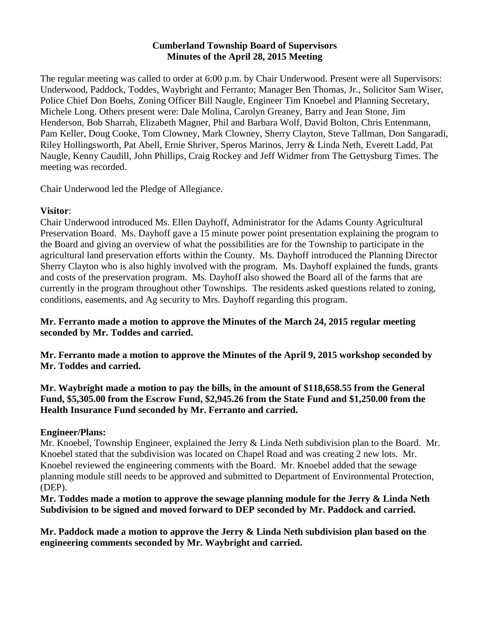#### **Cumberland Township Board of Supervisors Minutes of the April 28, 2015 Meeting**

The regular meeting was called to order at 6:00 p.m. by Chair Underwood. Present were all Supervisors: Underwood, Paddock, Toddes, Waybright and Ferranto; Manager Ben Thomas, Jr., Solicitor Sam Wiser, Police Chief Don Boehs, Zoning Officer Bill Naugle, Engineer Tim Knoebel and Planning Secretary, Michele Long. Others present were: Dale Molina, Carolyn Greaney, Barry and Jean Stone, Jim Henderson, Bob Sharrah, Elizabeth Magner, Phil and Barbara Wolf, David Bolton, Chris Entenmann, Pam Keller, Doug Cooke, Tom Clowney, Mark Clowney, Sherry Clayton, Steve Tallman, Don Sangaradi, Riley Hollingsworth, Pat Abell, Ernie Shriver, Speros Marinos, Jerry & Linda Neth, Everett Ladd, Pat Naugle, Kenny Caudill, John Phillips, Craig Rockey and Jeff Widmer from The Gettysburg Times. The meeting was recorded.

Chair Underwood led the Pledge of Allegiance.

# **Visitor**:

Chair Underwood introduced Ms. Ellen Dayhoff, Administrator for the Adams County Agricultural Preservation Board. Ms. Dayhoff gave a 15 minute power point presentation explaining the program to the Board and giving an overview of what the possibilities are for the Township to participate in the agricultural land preservation efforts within the County. Ms. Dayhoff introduced the Planning Director Sherry Clayton who is also highly involved with the program. Ms. Dayhoff explained the funds, grants and costs of the preservation program. Ms. Dayhoff also showed the Board all of the farms that are currently in the program throughout other Townships. The residents asked questions related to zoning, conditions, easements, and Ag security to Mrs. Dayhoff regarding this program.

# **Mr. Ferranto made a motion to approve the Minutes of the March 24, 2015 regular meeting seconded by Mr. Toddes and carried.**

**Mr. Ferranto made a motion to approve the Minutes of the April 9, 2015 workshop seconded by Mr. Toddes and carried.** 

**Mr. Waybright made a motion to pay the bills, in the amount of \$118,658.55 from the General Fund, \$5,305.00 from the Escrow Fund, \$2,945.26 from the State Fund and \$1,250.00 from the Health Insurance Fund seconded by Mr. Ferranto and carried.**

# **Engineer/Plans:**

Mr. Knoebel, Township Engineer, explained the Jerry & Linda Neth subdivision plan to the Board. Mr. Knoebel stated that the subdivision was located on Chapel Road and was creating 2 new lots. Mr. Knoebel reviewed the engineering comments with the Board. Mr. Knoebel added that the sewage planning module still needs to be approved and submitted to Department of Environmental Protection, (DEP).

## **Mr. Toddes made a motion to approve the sewage planning module for the Jerry & Linda Neth Subdivision to be signed and moved forward to DEP seconded by Mr. Paddock and carried.**

**Mr. Paddock made a motion to approve the Jerry & Linda Neth subdivision plan based on the engineering comments seconded by Mr. Waybright and carried.**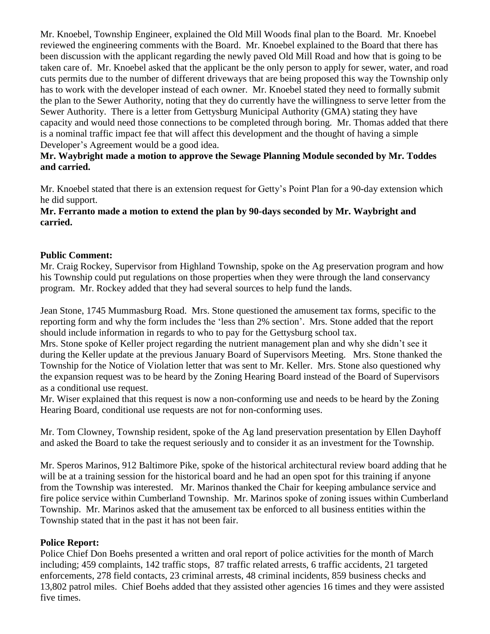Mr. Knoebel, Township Engineer, explained the Old Mill Woods final plan to the Board. Mr. Knoebel reviewed the engineering comments with the Board. Mr. Knoebel explained to the Board that there has been discussion with the applicant regarding the newly paved Old Mill Road and how that is going to be taken care of. Mr. Knoebel asked that the applicant be the only person to apply for sewer, water, and road cuts permits due to the number of different driveways that are being proposed this way the Township only has to work with the developer instead of each owner. Mr. Knoebel stated they need to formally submit the plan to the Sewer Authority, noting that they do currently have the willingness to serve letter from the Sewer Authority. There is a letter from Gettysburg Municipal Authority (GMA) stating they have capacity and would need those connections to be completed through boring. Mr. Thomas added that there is a nominal traffic impact fee that will affect this development and the thought of having a simple Developer's Agreement would be a good idea.

## **Mr. Waybright made a motion to approve the Sewage Planning Module seconded by Mr. Toddes and carried.**

Mr. Knoebel stated that there is an extension request for Getty's Point Plan for a 90-day extension which he did support.

## **Mr. Ferranto made a motion to extend the plan by 90-days seconded by Mr. Waybright and carried.**

## **Public Comment:**

Mr. Craig Rockey, Supervisor from Highland Township, spoke on the Ag preservation program and how his Township could put regulations on those properties when they were through the land conservancy program. Mr. Rockey added that they had several sources to help fund the lands.

Jean Stone, 1745 Mummasburg Road. Mrs. Stone questioned the amusement tax forms, specific to the reporting form and why the form includes the 'less than 2% section'. Mrs. Stone added that the report should include information in regards to who to pay for the Gettysburg school tax.

Mrs. Stone spoke of Keller project regarding the nutrient management plan and why she didn't see it during the Keller update at the previous January Board of Supervisors Meeting. Mrs. Stone thanked the Township for the Notice of Violation letter that was sent to Mr. Keller. Mrs. Stone also questioned why the expansion request was to be heard by the Zoning Hearing Board instead of the Board of Supervisors as a conditional use request.

Mr. Wiser explained that this request is now a non-conforming use and needs to be heard by the Zoning Hearing Board, conditional use requests are not for non-conforming uses.

Mr. Tom Clowney, Township resident, spoke of the Ag land preservation presentation by Ellen Dayhoff and asked the Board to take the request seriously and to consider it as an investment for the Township.

Mr. Speros Marinos, 912 Baltimore Pike, spoke of the historical architectural review board adding that he will be at a training session for the historical board and he had an open spot for this training if anyone from the Township was interested. Mr. Marinos thanked the Chair for keeping ambulance service and fire police service within Cumberland Township. Mr. Marinos spoke of zoning issues within Cumberland Township. Mr. Marinos asked that the amusement tax be enforced to all business entities within the Township stated that in the past it has not been fair.

## **Police Report:**

Police Chief Don Boehs presented a written and oral report of police activities for the month of March including; 459 complaints, 142 traffic stops, 87 traffic related arrests, 6 traffic accidents, 21 targeted enforcements, 278 field contacts, 23 criminal arrests, 48 criminal incidents, 859 business checks and 13,802 patrol miles. Chief Boehs added that they assisted other agencies 16 times and they were assisted five times.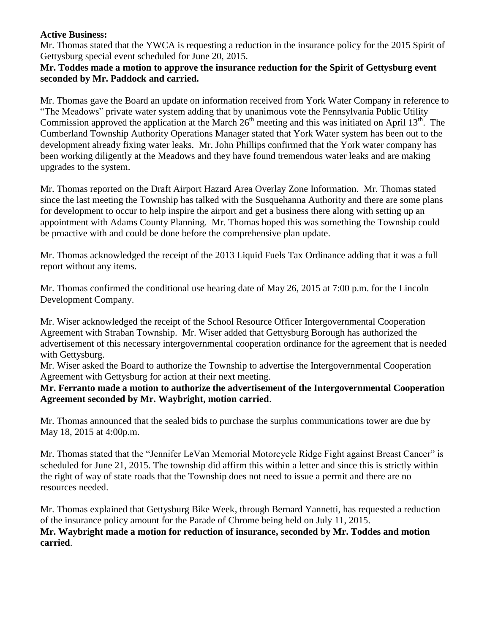#### **Active Business:**

Mr. Thomas stated that the YWCA is requesting a reduction in the insurance policy for the 2015 Spirit of Gettysburg special event scheduled for June 20, 2015.

#### **Mr. Toddes made a motion to approve the insurance reduction for the Spirit of Gettysburg event seconded by Mr. Paddock and carried.**

Mr. Thomas gave the Board an update on information received from York Water Company in reference to "The Meadows" private water system adding that by unanimous vote the Pennsylvania Public Utility Commission approved the application at the March  $26<sup>th</sup>$  meeting and this was initiated on April  $13<sup>th</sup>$ . The Cumberland Township Authority Operations Manager stated that York Water system has been out to the development already fixing water leaks. Mr. John Phillips confirmed that the York water company has been working diligently at the Meadows and they have found tremendous water leaks and are making upgrades to the system.

Mr. Thomas reported on the Draft Airport Hazard Area Overlay Zone Information. Mr. Thomas stated since the last meeting the Township has talked with the Susquehanna Authority and there are some plans for development to occur to help inspire the airport and get a business there along with setting up an appointment with Adams County Planning. Mr. Thomas hoped this was something the Township could be proactive with and could be done before the comprehensive plan update.

Mr. Thomas acknowledged the receipt of the 2013 Liquid Fuels Tax Ordinance adding that it was a full report without any items.

Mr. Thomas confirmed the conditional use hearing date of May 26, 2015 at 7:00 p.m. for the Lincoln Development Company.

Mr. Wiser acknowledged the receipt of the School Resource Officer Intergovernmental Cooperation Agreement with Straban Township. Mr. Wiser added that Gettysburg Borough has authorized the advertisement of this necessary intergovernmental cooperation ordinance for the agreement that is needed with Gettysburg.

Mr. Wiser asked the Board to authorize the Township to advertise the Intergovernmental Cooperation Agreement with Gettysburg for action at their next meeting.

**Mr. Ferranto made a motion to authorize the advertisement of the Intergovernmental Cooperation Agreement seconded by Mr. Waybright, motion carried**.

Mr. Thomas announced that the sealed bids to purchase the surplus communications tower are due by May 18, 2015 at 4:00p.m.

Mr. Thomas stated that the "Jennifer LeVan Memorial Motorcycle Ridge Fight against Breast Cancer" is scheduled for June 21, 2015. The township did affirm this within a letter and since this is strictly within the right of way of state roads that the Township does not need to issue a permit and there are no resources needed.

Mr. Thomas explained that Gettysburg Bike Week, through Bernard Yannetti, has requested a reduction of the insurance policy amount for the Parade of Chrome being held on July 11, 2015. **Mr. Waybright made a motion for reduction of insurance, seconded by Mr. Toddes and motion carried**.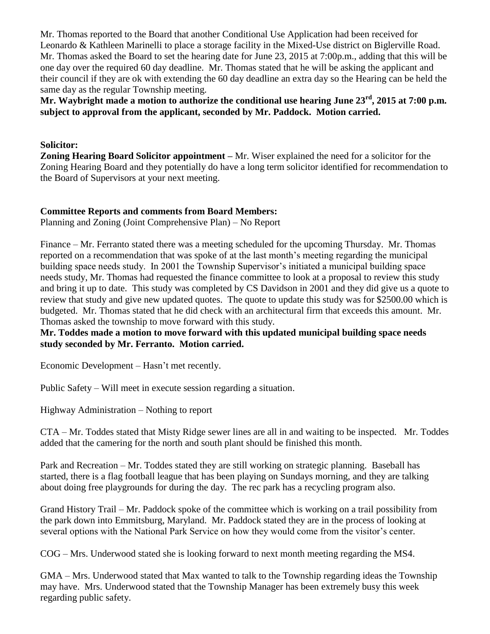Mr. Thomas reported to the Board that another Conditional Use Application had been received for Leonardo & Kathleen Marinelli to place a storage facility in the Mixed-Use district on Biglerville Road. Mr. Thomas asked the Board to set the hearing date for June 23, 2015 at 7:00p.m., adding that this will be one day over the required 60 day deadline. Mr. Thomas stated that he will be asking the applicant and their council if they are ok with extending the 60 day deadline an extra day so the Hearing can be held the same day as the regular Township meeting.

**Mr. Waybright made a motion to authorize the conditional use hearing June 23rd, 2015 at 7:00 p.m. subject to approval from the applicant, seconded by Mr. Paddock. Motion carried.**

#### **Solicitor:**

**Zoning Hearing Board Solicitor appointment –** Mr. Wiser explained the need for a solicitor for the Zoning Hearing Board and they potentially do have a long term solicitor identified for recommendation to the Board of Supervisors at your next meeting.

#### **Committee Reports and comments from Board Members:**

Planning and Zoning (Joint Comprehensive Plan) – No Report

Finance – Mr. Ferranto stated there was a meeting scheduled for the upcoming Thursday. Mr. Thomas reported on a recommendation that was spoke of at the last month's meeting regarding the municipal building space needs study. In 2001 the Township Supervisor's initiated a municipal building space needs study, Mr. Thomas had requested the finance committee to look at a proposal to review this study and bring it up to date. This study was completed by CS Davidson in 2001 and they did give us a quote to review that study and give new updated quotes. The quote to update this study was for \$2500.00 which is budgeted. Mr. Thomas stated that he did check with an architectural firm that exceeds this amount. Mr. Thomas asked the township to move forward with this study.

**Mr. Toddes made a motion to move forward with this updated municipal building space needs study seconded by Mr. Ferranto. Motion carried.**

Economic Development – Hasn't met recently.

Public Safety – Will meet in execute session regarding a situation.

Highway Administration – Nothing to report

CTA – Mr. Toddes stated that Misty Ridge sewer lines are all in and waiting to be inspected. Mr. Toddes added that the camering for the north and south plant should be finished this month.

Park and Recreation – Mr. Toddes stated they are still working on strategic planning. Baseball has started, there is a flag football league that has been playing on Sundays morning, and they are talking about doing free playgrounds for during the day. The rec park has a recycling program also.

Grand History Trail – Mr. Paddock spoke of the committee which is working on a trail possibility from the park down into Emmitsburg, Maryland. Mr. Paddock stated they are in the process of looking at several options with the National Park Service on how they would come from the visitor's center.

COG – Mrs. Underwood stated she is looking forward to next month meeting regarding the MS4.

GMA – Mrs. Underwood stated that Max wanted to talk to the Township regarding ideas the Township may have. Mrs. Underwood stated that the Township Manager has been extremely busy this week regarding public safety.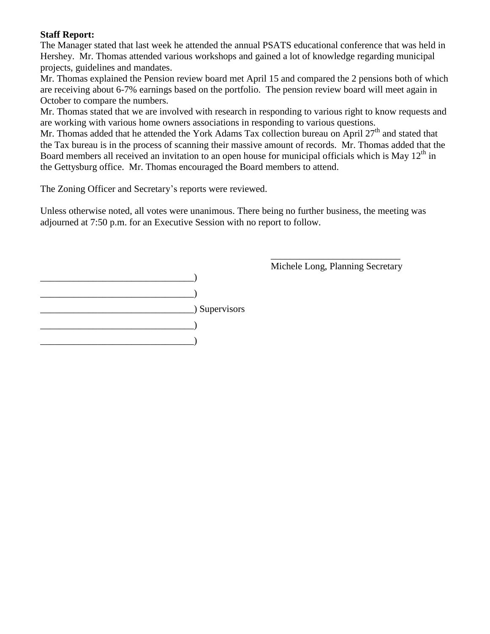# **Staff Report:**

The Manager stated that last week he attended the annual PSATS educational conference that was held in Hershey. Mr. Thomas attended various workshops and gained a lot of knowledge regarding municipal projects, guidelines and mandates.

Mr. Thomas explained the Pension review board met April 15 and compared the 2 pensions both of which are receiving about 6-7% earnings based on the portfolio. The pension review board will meet again in October to compare the numbers.

Mr. Thomas stated that we are involved with research in responding to various right to know requests and are working with various home owners associations in responding to various questions.

Mr. Thomas added that he attended the York Adams Tax collection bureau on April 27<sup>th</sup> and stated that the Tax bureau is in the process of scanning their massive amount of records. Mr. Thomas added that the Board members all received an invitation to an open house for municipal officials which is May  $12<sup>th</sup>$  in the Gettysburg office. Mr. Thomas encouraged the Board members to attend.

The Zoning Officer and Secretary's reports were reviewed.

Unless otherwise noted, all votes were unanimous. There being no further business, the meeting was adjourned at 7:50 p.m. for an Executive Session with no report to follow.



\_\_\_\_\_\_\_\_\_\_\_\_\_\_\_\_\_\_\_\_\_\_\_\_\_\_\_ Michele Long, Planning Secretary